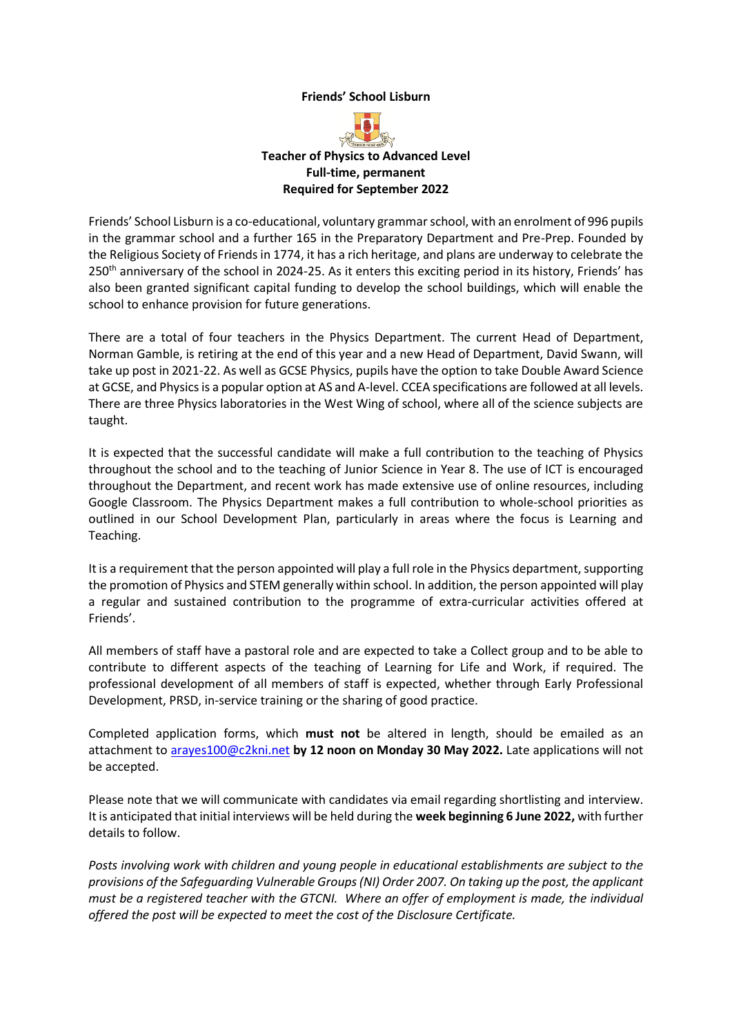### **Friends' School Lisburn**



Friends' School Lisburn is a co-educational, voluntary grammar school, with an enrolment of 996 pupils in the grammar school and a further 165 in the Preparatory Department and Pre-Prep. Founded by the Religious Society of Friends in 1774, it has a rich heritage, and plans are underway to celebrate the 250<sup>th</sup> anniversary of the school in 2024-25. As it enters this exciting period in its history, Friends' has also been granted significant capital funding to develop the school buildings, which will enable the school to enhance provision for future generations.

There are a total of four teachers in the Physics Department. The current Head of Department, Norman Gamble, is retiring at the end of this year and a new Head of Department, David Swann, will take up post in 2021-22. As well as GCSE Physics, pupils have the option to take Double Award Science at GCSE, and Physicsis a popular option at AS and A-level. CCEA specifications are followed at all levels. There are three Physics laboratories in the West Wing of school, where all of the science subjects are taught.

It is expected that the successful candidate will make a full contribution to the teaching of Physics throughout the school and to the teaching of Junior Science in Year 8. The use of ICT is encouraged throughout the Department, and recent work has made extensive use of online resources, including Google Classroom. The Physics Department makes a full contribution to whole-school priorities as outlined in our School Development Plan, particularly in areas where the focus is Learning and Teaching.

It is a requirement that the person appointed will play a full role in the Physics department, supporting the promotion of Physics and STEM generally within school. In addition, the person appointed will play a regular and sustained contribution to the programme of extra-curricular activities offered at Friends'.

All members of staff have a pastoral role and are expected to take a Collect group and to be able to contribute to different aspects of the teaching of Learning for Life and Work, if required. The professional development of all members of staff is expected, whether through Early Professional Development, PRSD, in-service training or the sharing of good practice.

Completed application forms, which **must not** be altered in length, should be emailed as an attachment to [arayes100@c2kni.net](mailto:arayes100@c2kni.net) **by 12 noon on Monday 30 May 2022.** Late applications will not be accepted.

Please note that we will communicate with candidates via email regarding shortlisting and interview. It is anticipated that initial interviews will be held during the **week beginning 6 June 2022,** with further details to follow.

*Posts involving work with children and young people in educational establishments are subject to the provisions of the Safeguarding Vulnerable Groups (NI) Order 2007. On taking up the post, the applicant must be a registered teacher with the GTCNI. Where an offer of employment is made, the individual offered the post will be expected to meet the cost of the Disclosure Certificate.*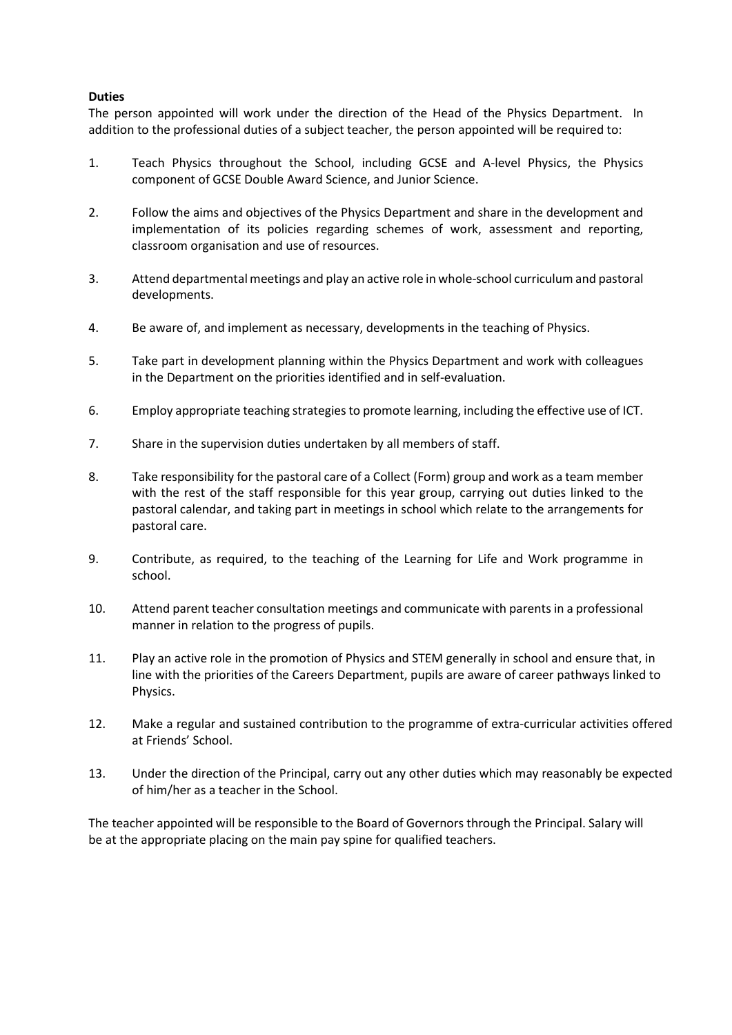## **Duties**

The person appointed will work under the direction of the Head of the Physics Department. In addition to the professional duties of a subject teacher, the person appointed will be required to:

- 1. Teach Physics throughout the School, including GCSE and A-level Physics, the Physics component of GCSE Double Award Science, and Junior Science.
- 2. Follow the aims and objectives of the Physics Department and share in the development and implementation of its policies regarding schemes of work, assessment and reporting, classroom organisation and use of resources.
- 3. Attend departmental meetings and play an active role in whole-school curriculum and pastoral developments.
- 4. Be aware of, and implement as necessary, developments in the teaching of Physics.
- 5. Take part in development planning within the Physics Department and work with colleagues in the Department on the priorities identified and in self-evaluation.
- 6. Employ appropriate teaching strategies to promote learning, including the effective use of ICT.
- 7. Share in the supervision duties undertaken by all members of staff.
- 8. Take responsibility for the pastoral care of a Collect (Form) group and work as a team member with the rest of the staff responsible for this year group, carrying out duties linked to the pastoral calendar, and taking part in meetings in school which relate to the arrangements for pastoral care.
- 9. Contribute, as required, to the teaching of the Learning for Life and Work programme in school.
- 10. Attend parent teacher consultation meetings and communicate with parents in a professional manner in relation to the progress of pupils.
- 11. Play an active role in the promotion of Physics and STEM generally in school and ensure that, in line with the priorities of the Careers Department, pupils are aware of career pathways linked to Physics.
- 12. Make a regular and sustained contribution to the programme of extra-curricular activities offered at Friends' School.
- 13. Under the direction of the Principal, carry out any other duties which may reasonably be expected of him/her as a teacher in the School.

The teacher appointed will be responsible to the Board of Governors through the Principal. Salary will be at the appropriate placing on the main pay spine for qualified teachers.